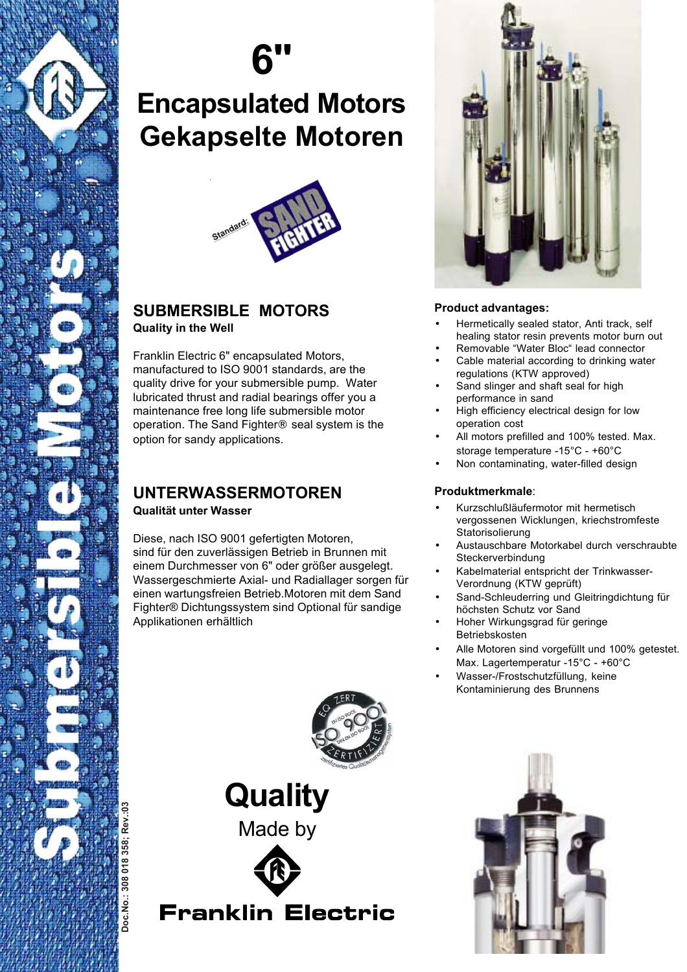

## **6"**

### **Encapsulated Motors Gekapselte Motoren**



### **SUBMERSIBLE MOTORS Quality in the Well**

Franklin Electric 6" encapsulated Motors, manufactured to ISO 9001 standards, are the quality drive for your submersible pump. Water lubricated thrust and radial bearings offer you a maintenance free long life submersible motor operation. The Sand Fighter® seal system is the option for sandy applications.

### **UNTERWASSERMOTOREN Qualität unter Wasser**

Diese, nach ISO 9001 gefertigten Motoren, sind für den zuverlässigen Betrieb in Brunnen mit einem Durchmesser von 6" oder größer ausgelegt. Wassergeschmierte Axial- und Radiallager sorgen für einen wartungsfreien Betrieb.Motoren mit dem Sand Fighter® Dichtungssystem sind Optional für sandige Applikationen erhältlich



### **Product advantages:**

- Hermetically sealed stator, Anti track, self healing stator resin prevents motor burn out
- Removable "Water Bloc" lead connector
- Cable material according to drinking water regulations (KTW approved)
- Sand slinger and shaft seal for high performance in sand
- High efficiency electrical design for low operation cost
- All motors prefilled and 100% tested. Max. storage temperature -15°C - +60°C
- Non contaminating, water-filled design

### **Produktmerkmale**:

- Kurzschlußläufermotor mit hermetisch vergossenen Wicklungen, kriechstromfeste **Statorisolierung**
- Austauschbare Motorkabel durch verschraubte Steckerverbindung
- Kabelmaterial entspricht der Trinkwasser-Verordnung (KTW geprüft)
- Sand-Schleuderring und Gleitringdichtung für höchsten Schutz vor Sand
- Hoher Wirkungsgrad für geringe Betriebskosten
- Alle Motoren sind vorgefüllt und 100% getestet. Max. Lagertemperatur -15°C - +60°C
- Wasser-/Frostschutzfüllung, keine Kontaminierung des Brunnens



**Quality** Made by



**Franklin Electric**